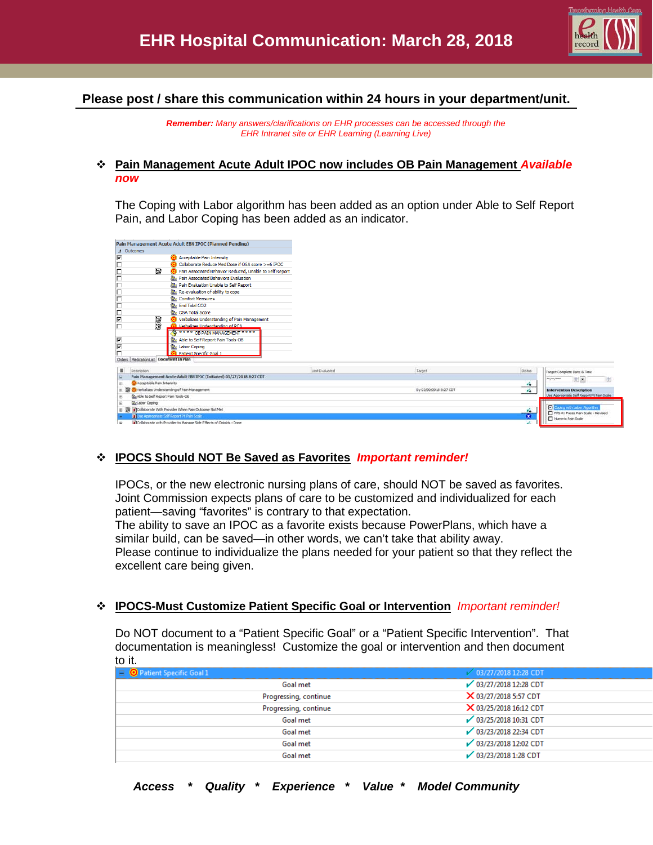

# **Please post / share this communication within 24 hours in your department/unit.**

*Remember: Many answers/clarifications on EHR processes can be accessed through the EHR Intranet site or EHR Learning (Learning Live)*

### **Pain Management Acute Adult IPOC now includes OB Pain Management** *Available now*

The Coping with Labor algorithm has been added as an option under Able to Self Report Pain, and Labor Coping has been added as an indicator.

| Pain Management Acute Adult EBN IPOC (Planned Pending)                    |                    |                        |                            |                                                                  |
|---------------------------------------------------------------------------|--------------------|------------------------|----------------------------|------------------------------------------------------------------|
| 4 Outcomes                                                                |                    |                        |                            |                                                                  |
| ⊽<br><b>Acceptable Pain Intensity</b>                                     |                    |                        |                            |                                                                  |
| Collaborate Reduce Med Dose if OSA score >=6 IPOC                         |                    |                        |                            |                                                                  |
| 家<br>Pain Associated Behavior Reduced, Unable to Self Report              |                    |                        |                            |                                                                  |
| <b>18th</b> Pain Associated Behaviors Evaluation                          |                    |                        |                            |                                                                  |
| <b>Re</b> Pain Evaluation Unable to Self Report                           |                    |                        |                            |                                                                  |
| <b>Re-evaluation of ability to cope</b>                                   |                    |                        |                            |                                                                  |
| <b>Re</b> Comfort Measures                                                |                    |                        |                            |                                                                  |
| <b>Re</b> End Tidal CO2                                                   |                    |                        |                            |                                                                  |
| <b>No. OSA Total Score</b>                                                |                    |                        |                            |                                                                  |
| 家<br>⊽<br>Verbalizes Understanding of Pain Management                     |                    |                        |                            |                                                                  |
| O Verbalizes Understanding of PCA                                         |                    |                        |                            |                                                                  |
| <b>FOR THE SET OF PAIN MANAGEMENT ****</b>                                |                    |                        |                            |                                                                  |
| ⊽<br>Able to Self Report Pain Tools-OB                                    |                    |                        |                            |                                                                  |
| $\overline{V}$<br><b>Ba</b> Labor Coping                                  |                    |                        |                            |                                                                  |
| -<br><b>O</b> Patient Specific Goal 1                                     |                    |                        |                            |                                                                  |
| Orders   Medication List   Document In Plan                               |                    |                        |                            |                                                                  |
| 田<br>Description                                                          | List Evaluated     | Target                 | Status:                    | Target Complete Date & Time                                      |
| Pain Management Acute Adult EBN IPOC (Initiated) 03/27/2018 8:27 CDT<br>B |                    |                        |                            | ---<br>$+1$                                                      |
| Acceptable Pain Intensity<br>œ.                                           |                    |                        | $\mathcal{A}_{\bullet}$    |                                                                  |
| Werbalzes Understanding of Pain Management<br>审                           |                    | By 03/30/2018 8:27 CDT | $\mathcal{L}_{\mathbf{a}}$ | <b>Intervention Description</b>                                  |
| St. Able to Self Report Pain Tools-OB<br>庚                                |                    |                        |                            | Use Appropriate Self Report Pt Pain Scale                        |
| the Labor Coping<br>田                                                     |                    |                        |                            |                                                                  |
| Collaborate With Provider When Pain Outcome Not Met                       |                    |                        | v.                         | Coping with Labor Algorithm<br>FPS-R: Faces Pain Scale - Revised |
| Ti Use Appropriate Self Report Pt Pain Scale                              | Numeric Pain Scale |                        |                            |                                                                  |
| Collaborate with Provider to Manage Side Effects of Opioids - Done        |                    |                        | v.                         |                                                                  |

## **IPOCS Should NOT Be Saved as Favorites** *Important reminder!*

IPOCs, or the new electronic nursing plans of care, should NOT be saved as favorites. Joint Commission expects plans of care to be customized and individualized for each patient—saving "favorites" is contrary to that expectation.

The ability to save an IPOC as a favorite exists because PowerPlans, which have a similar build, can be saved—in other words, we can't take that ability away. Please continue to individualize the plans needed for your patient so that they reflect the excellent care being given.

### **IPOCS-Must Customize Patient Specific Goal or Intervention** *Important reminder!*

Do NOT document to a "Patient Specific Goal" or a "Patient Specific Intervention". That documentation is meaningless! Customize the goal or intervention and then document to it.

| $\Box$ <b>O</b> Patient Specific Goal 1 | ■ 03/27/2018 12:28 CDT |
|-----------------------------------------|------------------------|
| Goal met                                | ◯ 03/27/2018 12:28 CDT |
| Progressing, continue                   | X 03/27/2018 5:57 CDT  |
| Progressing, continue                   | X 03/25/2018 16:12 CDT |
| Goal met                                | ◯ 03/25/2018 10:31 CDT |
| Goal met                                | ◯ 03/23/2018 22:34 CDT |
| Goal met                                | 03/23/2018 12:02 CDT   |
| Goal met                                | ◯ 03/23/2018 1:28 CDT  |
|                                         |                        |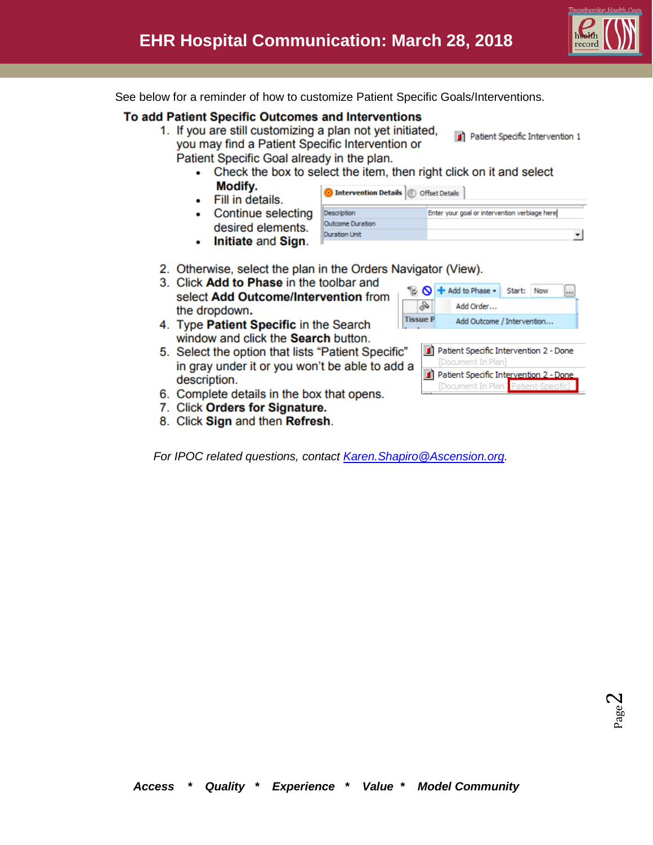ᅬ

See below for a reminder of how to customize Patient Specific Goals/Interventions.

## To add Patient Specific Outcomes and Interventions

- 1. If you are still customizing a plan not yet initiated, you may find a Patient Specific Intervention or Patient Specific Goal already in the plan.
	- Check the box to select the item, then right click on it and select
	- Modify. Fill in details.
	- Continue selecting desired ele

| Initiate and Sign.<br>۰ |  |
|-------------------------|--|
|-------------------------|--|

| electing <b>pesapan</b> |                  | criter your goal or intervention verbiage nere) |
|-------------------------|------------------|-------------------------------------------------|
| ments.                  | Outcome Duration |                                                 |
|                         |                  |                                                 |
| d Sign.                 |                  |                                                 |

O Intervention Details **B** Offset Details

- 2. Otherwise, select the plan in the Orders Navigator (View).
- 3. Click Add to Phase in the toolbar and select Add Outcome/Intervention from the dropdown.
- 4. Type Patient Specific in the Search window and click the Search button.
- 5. Select the option that lists "Patient Specific" in gray under it or you won't be able to add description.
- 6. Complete details in the box that opens.
- 7. Click Orders for Signature.
- 8. Click Sign and then Refresh.

For IPOC related questions, contact Karen. Shapiro @Ascension.org.

|  |                                                                   |  |  | <b>B</b> $\bigcirc$ + Add to Phase - |  | Start:                                 | Now |  |
|--|-------------------------------------------------------------------|--|--|--------------------------------------|--|----------------------------------------|-----|--|
|  | â                                                                 |  |  | Add Order                            |  |                                        |     |  |
|  | Add Outcome / Intervention                                        |  |  |                                      |  |                                        |     |  |
|  |                                                                   |  |  |                                      |  |                                        |     |  |
|  |                                                                   |  |  |                                      |  | Patient Specific Intervention 2 - Done |     |  |
|  | [Document In Plan]<br>a<br>Patient Specific Intervention 2 - Done |  |  |                                      |  |                                        |     |  |
|  |                                                                   |  |  |                                      |  |                                        |     |  |
|  |                                                                   |  |  |                                      |  | [Document In Plan Patient-Specific]    |     |  |

<sup>1</sup> Patient Specific Intervention 1